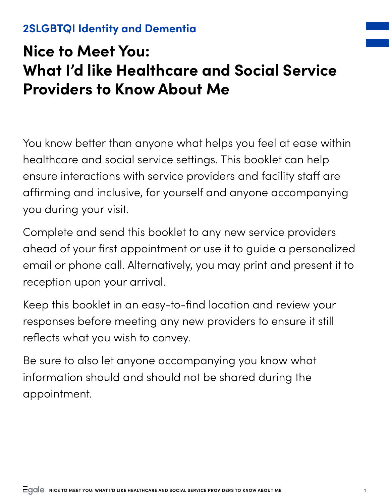#### **2SLGBTQI Identity and Dementia**

# **Nice to Meet You: What I'd like Healthcare and Social Service Providers to Know About Me**

You know better than anyone what helps you feel at ease within healthcare and social service settings. This booklet can help ensure interactions with service providers and facility staff are affirming and inclusive, for yourself and anyone accompanying you during your visit.

Complete and send this booklet to any new service providers ahead of your first appointment or use it to guide a personalized email or phone call. Alternatively, you may print and present it to reception upon your arrival.

Keep this booklet in an easy-to-find location and review your responses before meeting any new providers to ensure it still reflects what you wish to convey.

Be sure to also let anyone accompanying you know what information should and should not be shared during the appointment.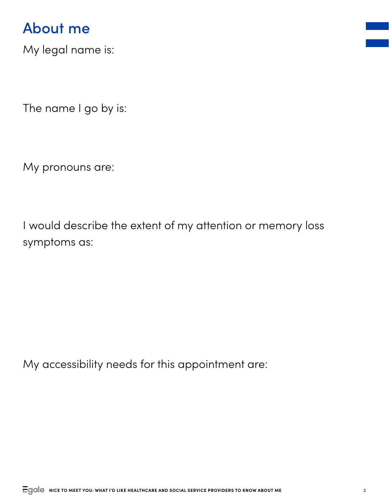#### About me

My legal name is:

The name I go by is:

My pronouns are:

I would describe the extent of my attention or memory loss symptoms as:

My accessibility needs for this appointment are: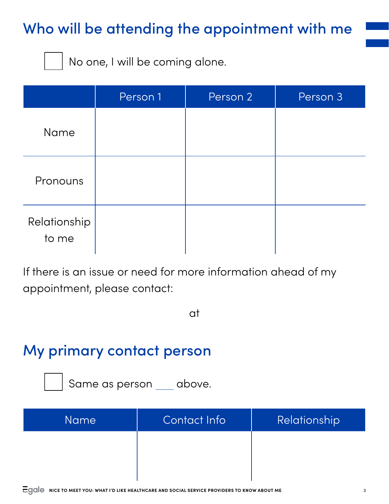## Who will be attending the appointment with me

No one, I will be coming alone.

|                       | Person 1 | Person 2 | Person 3 |
|-----------------------|----------|----------|----------|
| <b>Name</b>           |          |          |          |
| Pronouns              |          |          |          |
| Relationship<br>to me |          |          |          |

If there is an issue or need for more information ahead of my appointment, please contact:

at

### My primary contact person

Same as person \_\_ above.

| <b>Name</b> | Contact Info | Relationship |
|-------------|--------------|--------------|
|             |              |              |
|             |              |              |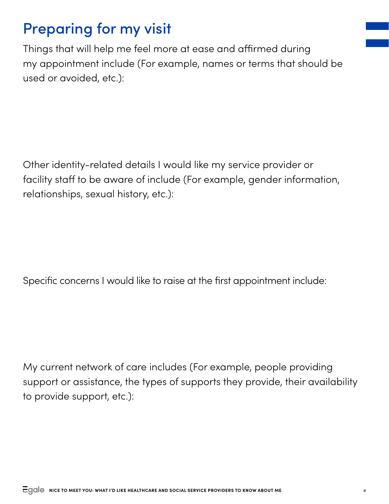## Preparing for my visit

Things that will help me feel more at ease and affirmed during my appointment include (For example, names or terms that should be used or avoided, etc.):

Other identity-related details I would like my service provider or facility staff to be aware of include (For example, gender information, relationships, sexual history, etc.):

Specific concerns I would like to raise at the first appointment include:

My current network of care includes (For example, people providing support or assistance, the types of supports they provide, their availability to provide support, etc.):